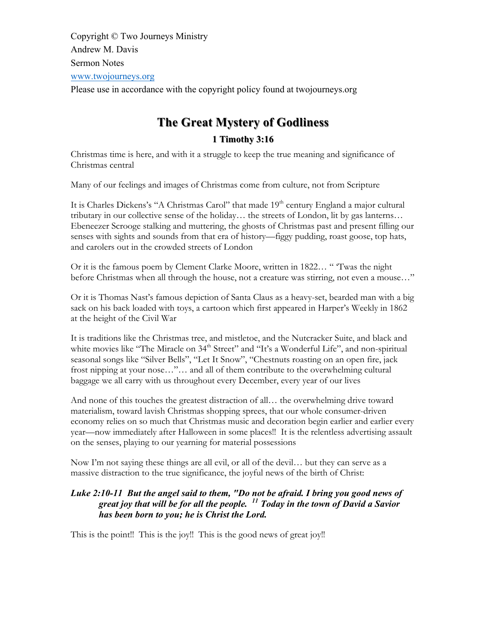Copyright © Two Journeys Ministry Andrew M. Davis Sermon Notes www.twojourneys.org Please use in accordance with the copyright policy found at twojourneys.org

# **The Great Mystery of Godliness Great Mystery of Godliness 1 Timothy 3:16 1 Timothy 3:16**

Christmas time is here, and with it a struggle to keep the true meaning and significance of Christmas central

Many of our feelings and images of Christmas come from culture, not from Scripture

It is Charles Dickens's "A Christmas Carol" that made 19<sup>th</sup> century England a major cultural tributary in our collective sense of the holiday… the streets of London, lit by gas lanterns… Ebeneezer Scrooge stalking and muttering, the ghosts of Christmas past and present filling our senses with sights and sounds from that era of history—figgy pudding, roast goose, top hats, and carolers out in the crowded streets of London

Or it is the famous poem by Clement Clarke Moore, written in 1822… " 'Twas the night before Christmas when all through the house, not a creature was stirring, not even a mouse…"

Or it is Thomas Nast's famous depiction of Santa Claus as a heavy-set, bearded man with a big sack on his back loaded with toys, a cartoon which first appeared in Harper's Weekly in 1862 at the height of the Civil War

It is traditions like the Christmas tree, and mistletoe, and the Nutcracker Suite, and black and white movies like "The Miracle on 34<sup>th</sup> Street" and "It's a Wonderful Life", and non-spiritual seasonal songs like "Silver Bells", "Let It Snow", "Chestnuts roasting on an open fire, jack frost nipping at your nose…"… and all of them contribute to the overwhelming cultural baggage we all carry with us throughout every December, every year of our lives

And none of this touches the greatest distraction of all… the overwhelming drive toward materialism, toward lavish Christmas shopping sprees, that our whole consumer-driven economy relies on so much that Christmas music and decoration begin earlier and earlier every year—now immediately after Halloween in some places!! It is the relentless advertising assault on the senses, playing to our yearning for material possessions

Now I'm not saying these things are all evil, or all of the devil… but they can serve as a massive distraction to the true significance, the joyful news of the birth of Christ:

# *Luke 2:10-11 But the angel said to them, "Do not be afraid. I bring you good news of great joy that will be for all the people. <sup>11</sup> Today in the town of David a Savior has been born to you; he is Christ the Lord.*

This is the point!! This is the joy!! This is the good news of great joy!!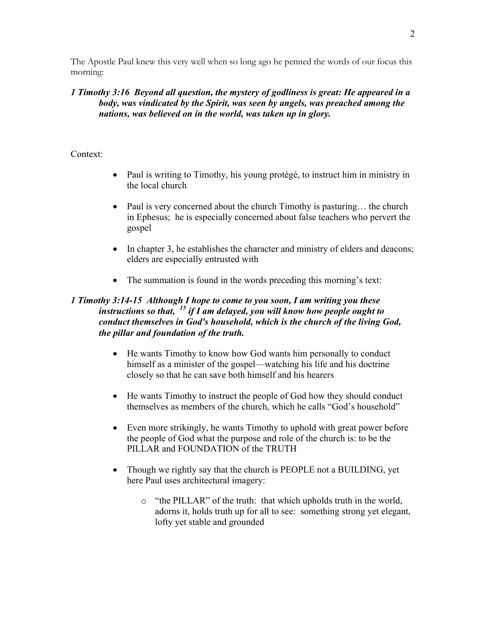The Apostle Paul knew this very well when so long ago he penned the words of our focus this morning:

# *1 Timothy 3:16 Beyond all question, the mystery of godliness is great: He appeared in a body, was vindicated by the Spirit, was seen by angels, was preached among the nations, was believed on in the world, was taken up in glory.*

# Context:

- Paul is writing to Timothy, his young protégé, to instruct him in ministry in the local church
- Paul is very concerned about the church Timothy is pasturing... the church in Ephesus; he is especially concerned about false teachers who pervert the gospel
- In chapter 3, he establishes the character and ministry of elders and deacons; elders are especially entrusted with
- The summation is found in the words preceding this morning's text:

# *1 Timothy 3:14-15 Although I hope to come to you soon, I am writing you these instructions so that, <sup>15</sup> if I am delayed, you will know how people ought to conduct themselves in God's household, which is the church of the living God, the pillar and foundation of the truth.*

- He wants Timothy to know how God wants him personally to conduct himself as a minister of the gospel—watching his life and his doctrine closely so that he can save both himself and his hearers
- He wants Timothy to instruct the people of God how they should conduct themselves as members of the church, which he calls "God's household"
- Even more strikingly, he wants Timothy to uphold with great power before the people of God what the purpose and role of the church is: to be the PILLAR and FOUNDATION of the TRUTH
- Though we rightly say that the church is PEOPLE not a BUILDING, yet here Paul uses architectural imagery:
	- o "the PILLAR" of the truth: that which upholds truth in the world, adorns it, holds truth up for all to see: something strong yet elegant, lofty yet stable and grounded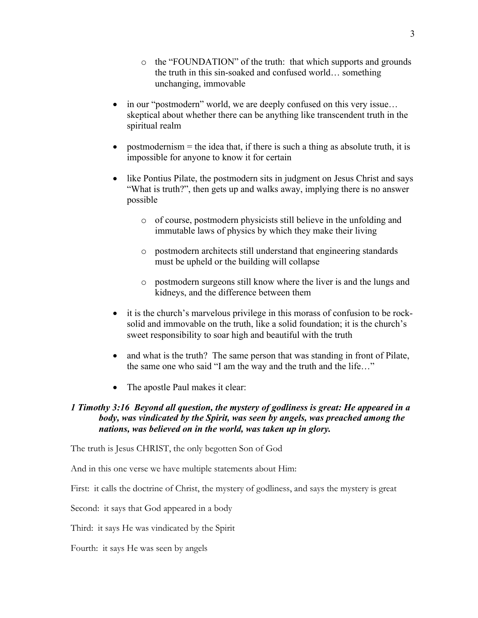- in our "postmodern" world, we are deeply confused on this very issue... skeptical about whether there can be anything like transcendent truth in the spiritual realm
- postmodernism  $=$  the idea that, if there is such a thing as absolute truth, it is impossible for anyone to know it for certain
- like Pontius Pilate, the postmodern sits in judgment on Jesus Christ and says "What is truth?", then gets up and walks away, implying there is no answer possible
	- o of course, postmodern physicists still believe in the unfolding and immutable laws of physics by which they make their living
	- o postmodern architects still understand that engineering standards must be upheld or the building will collapse
	- o postmodern surgeons still know where the liver is and the lungs and kidneys, and the difference between them
- it is the church's marvelous privilege in this morass of confusion to be rocksolid and immovable on the truth, like a solid foundation; it is the church's sweet responsibility to soar high and beautiful with the truth
- and what is the truth? The same person that was standing in front of Pilate, the same one who said "I am the way and the truth and the life…"
- The apostle Paul makes it clear:

# *1 Timothy 3:16 Beyond all question, the mystery of godliness is great: He appeared in a body, was vindicated by the Spirit, was seen by angels, was preached among the nations, was believed on in the world, was taken up in glory.*

The truth is Jesus CHRIST, the only begotten Son of God

And in this one verse we have multiple statements about Him:

First: it calls the doctrine of Christ, the mystery of godliness, and says the mystery is great

Second: it says that God appeared in a body

Third: it says He was vindicated by the Spirit

Fourth: it says He was seen by angels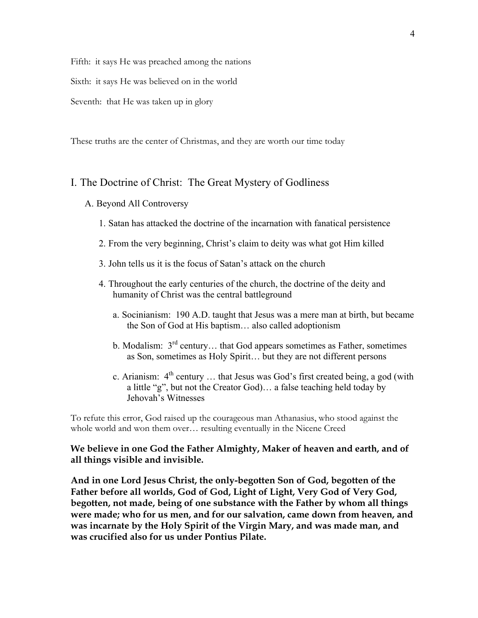Fifth: it says He was preached among the nations

Sixth: it says He was believed on in the world

Seventh: that He was taken up in glory

These truths are the center of Christmas, and they are worth our time today

## I. The Doctrine of Christ: The Great Mystery of Godliness

- A. Beyond All Controversy
	- 1. Satan has attacked the doctrine of the incarnation with fanatical persistence
	- 2. From the very beginning, Christ's claim to deity was what got Him killed
	- 3. John tells us it is the focus of Satan's attack on the church
	- 4. Throughout the early centuries of the church, the doctrine of the deity and humanity of Christ was the central battleground
		- a. Socinianism: 190 A.D. taught that Jesus was a mere man at birth, but became the Son of God at His baptism… also called adoptionism
		- b. Modalism:  $3<sup>rd</sup>$  century... that God appears sometimes as Father, sometimes as Son, sometimes as Holy Spirit… but they are not different persons
		- c. Arianism:  $4<sup>th</sup>$  century ... that Jesus was God's first created being, a god (with a little "g", but not the Creator God)… a false teaching held today by Jehovah's Witnesses

To refute this error, God raised up the courageous man Athanasius, who stood against the whole world and won them over… resulting eventually in the Nicene Creed

## **We believe in one God the Father Almighty, Maker of heaven and earth, and of all things visible and invisible.**

**And in one Lord Jesus Christ, the only-begotten Son of God, begotten of the Father before all worlds, God of God, Light of Light, Very God of Very God, begotten, not made, being of one substance with the Father by whom all things were made; who for us men, and for our salvation, came down from heaven, and was incarnate by the Holy Spirit of the Virgin Mary, and was made man, and was crucified also for us under Pontius Pilate.**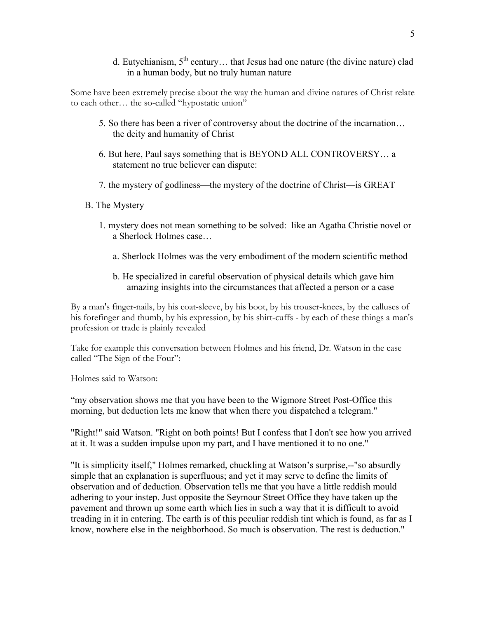d. Eutychianism,  $5<sup>th</sup>$  century... that Jesus had one nature (the divine nature) clad in a human body, but no truly human nature

Some have been extremely precise about the way the human and divine natures of Christ relate to each other… the so-called "hypostatic union"

- 5. So there has been a river of controversy about the doctrine of the incarnation… the deity and humanity of Christ
- 6. But here, Paul says something that is BEYOND ALL CONTROVERSY… a statement no true believer can dispute:
- 7. the mystery of godliness—the mystery of the doctrine of Christ—is GREAT
- B. The Mystery
	- 1. mystery does not mean something to be solved: like an Agatha Christie novel or a Sherlock Holmes case…
		- a. Sherlock Holmes was the very embodiment of the modern scientific method
		- b. He specialized in careful observation of physical details which gave him amazing insights into the circumstances that affected a person or a case

By a man's finger-nails, by his coat-sleeve, by his boot, by his trouser-knees, by the calluses of his forefinger and thumb, by his expression, by his shirt-cuffs - by each of these things a man's profession or trade is plainly revealed

Take for example this conversation between Holmes and his friend, Dr. Watson in the case called "The Sign of the Four":

Holmes said to Watson:

"my observation shows me that you have been to the Wigmore Street Post-Office this morning, but deduction lets me know that when there you dispatched a telegram."

"Right!" said Watson. "Right on both points! But I confess that I don't see how you arrived at it. It was a sudden impulse upon my part, and I have mentioned it to no one."

"It is simplicity itself," Holmes remarked, chuckling at Watson's surprise,--"so absurdly simple that an explanation is superfluous; and yet it may serve to define the limits of observation and of deduction. Observation tells me that you have a little reddish mould adhering to your instep. Just opposite the Seymour Street Office they have taken up the pavement and thrown up some earth which lies in such a way that it is difficult to avoid treading in it in entering. The earth is of this peculiar reddish tint which is found, as far as I know, nowhere else in the neighborhood. So much is observation. The rest is deduction."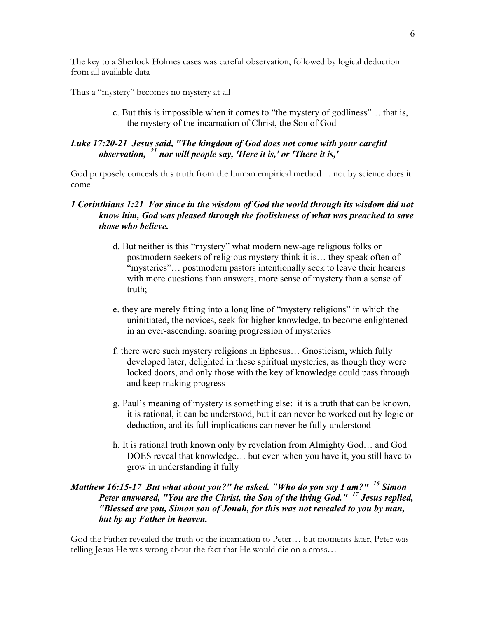The key to a Sherlock Holmes cases was careful observation, followed by logical deduction from all available data

Thus a "mystery" becomes no mystery at all

c. But this is impossible when it comes to "the mystery of godliness"… that is, the mystery of the incarnation of Christ, the Son of God

# *Luke 17:20-21 Jesus said, "The kingdom of God does not come with your careful observation, <sup>21</sup> nor will people say, 'Here it is,' or 'There it is,'*

God purposely conceals this truth from the human empirical method… not by science does it come

## *1 Corinthians 1:21 For since in the wisdom of God the world through its wisdom did not know him, God was pleased through the foolishness of what was preached to save those who believe.*

- d. But neither is this "mystery" what modern new-age religious folks or postmodern seekers of religious mystery think it is… they speak often of "mysteries"… postmodern pastors intentionally seek to leave their hearers with more questions than answers, more sense of mystery than a sense of truth;
- e. they are merely fitting into a long line of "mystery religions" in which the uninitiated, the novices, seek for higher knowledge, to become enlightened in an ever-ascending, soaring progression of mysteries
- f. there were such mystery religions in Ephesus… Gnosticism, which fully developed later, delighted in these spiritual mysteries, as though they were locked doors, and only those with the key of knowledge could pass through and keep making progress
- g. Paul's meaning of mystery is something else: it is a truth that can be known, it is rational, it can be understood, but it can never be worked out by logic or deduction, and its full implications can never be fully understood
- h. It is rational truth known only by revelation from Almighty God… and God DOES reveal that knowledge… but even when you have it, you still have to grow in understanding it fully

# *Matthew 16:15-17 But what about you?" he asked. "Who do you say I am?" <sup>16</sup> Simon Peter answered, "You are the Christ, the Son of the living God." <sup>17</sup> Jesus replied, "Blessed are you, Simon son of Jonah, for this was not revealed to you by man, but by my Father in heaven.*

God the Father revealed the truth of the incarnation to Peter… but moments later, Peter was telling Jesus He was wrong about the fact that He would die on a cross…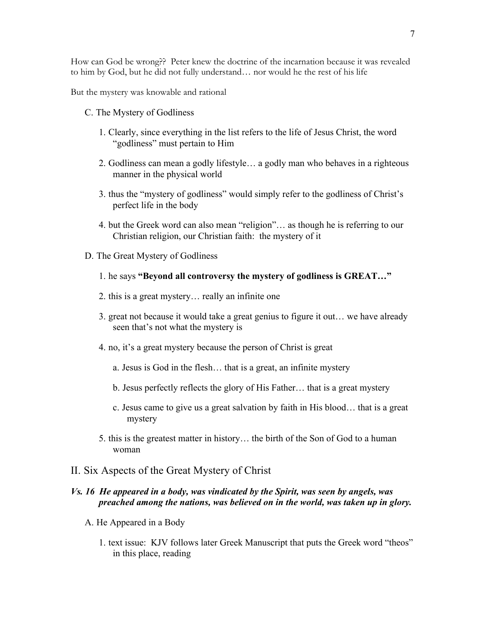How can God be wrong?? Peter knew the doctrine of the incarnation because it was revealed to him by God, but he did not fully understand… nor would he the rest of his life

But the mystery was knowable and rational

- C. The Mystery of Godliness
	- 1. Clearly, since everything in the list refers to the life of Jesus Christ, the word "godliness" must pertain to Him
	- 2. Godliness can mean a godly lifestyle… a godly man who behaves in a righteous manner in the physical world
	- 3. thus the "mystery of godliness" would simply refer to the godliness of Christ's perfect life in the body
	- 4. but the Greek word can also mean "religion"… as though he is referring to our Christian religion, our Christian faith: the mystery of it
- D. The Great Mystery of Godliness
	- 1. he says **"Beyond all controversy the mystery of godliness is GREAT…"**
	- 2. this is a great mystery… really an infinite one
	- 3. great not because it would take a great genius to figure it out… we have already seen that's not what the mystery is
	- 4. no, it's a great mystery because the person of Christ is great
		- a. Jesus is God in the flesh… that is a great, an infinite mystery
		- b. Jesus perfectly reflects the glory of His Father… that is a great mystery
		- c. Jesus came to give us a great salvation by faith in His blood… that is a great mystery
	- 5. this is the greatest matter in history… the birth of the Son of God to a human woman

### II. Six Aspects of the Great Mystery of Christ

# *Vs. 16 He appeared in a body, was vindicated by the Spirit, was seen by angels, was preached among the nations, was believed on in the world, was taken up in glory.*

- A. He Appeared in a Body
	- 1. text issue: KJV follows later Greek Manuscript that puts the Greek word "theos" in this place, reading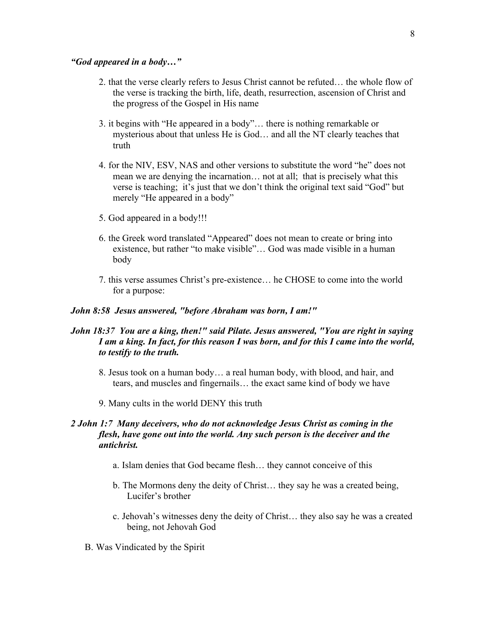#### *"God appeared in a body…"*

- 2. that the verse clearly refers to Jesus Christ cannot be refuted… the whole flow of the verse is tracking the birth, life, death, resurrection, ascension of Christ and the progress of the Gospel in His name
- 3. it begins with "He appeared in a body"… there is nothing remarkable or mysterious about that unless He is God… and all the NT clearly teaches that truth
- 4. for the NIV, ESV, NAS and other versions to substitute the word "he" does not mean we are denying the incarnation… not at all; that is precisely what this verse is teaching; it's just that we don't think the original text said "God" but merely "He appeared in a body"
- 5. God appeared in a body!!!
- 6. the Greek word translated "Appeared" does not mean to create or bring into existence, but rather "to make visible"… God was made visible in a human body
- 7. this verse assumes Christ's pre-existence… he CHOSE to come into the world for a purpose:

#### *John 8:58 Jesus answered, "before Abraham was born, I am!"*

# *John 18:37 You are a king, then!" said Pilate. Jesus answered, "You are right in saying I am a king. In fact, for this reason I was born, and for this I came into the world, to testify to the truth.*

- 8. Jesus took on a human body… a real human body, with blood, and hair, and tears, and muscles and fingernails… the exact same kind of body we have
- 9. Many cults in the world DENY this truth

# *2 John 1:7 Many deceivers, who do not acknowledge Jesus Christ as coming in the flesh, have gone out into the world. Any such person is the deceiver and the antichrist.*

- a. Islam denies that God became flesh… they cannot conceive of this
- b. The Mormons deny the deity of Christ… they say he was a created being, Lucifer's brother
- c. Jehovah's witnesses deny the deity of Christ… they also say he was a created being, not Jehovah God
- B. Was Vindicated by the Spirit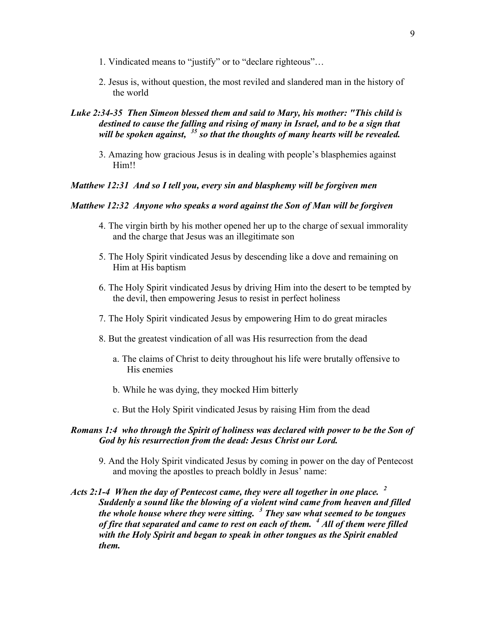- 1. Vindicated means to "justify" or to "declare righteous"…
- 2. Jesus is, without question, the most reviled and slandered man in the history of the world

# *Luke 2:34-35 Then Simeon blessed them and said to Mary, his mother: "This child is destined to cause the falling and rising of many in Israel, and to be a sign that will be spoken against, <sup>35</sup> so that the thoughts of many hearts will be revealed.*

3. Amazing how gracious Jesus is in dealing with people's blasphemies against Him!!

#### *Matthew 12:31 And so I tell you, every sin and blasphemy will be forgiven men*

#### *Matthew 12:32 Anyone who speaks a word against the Son of Man will be forgiven*

- 4. The virgin birth by his mother opened her up to the charge of sexual immorality and the charge that Jesus was an illegitimate son
- 5. The Holy Spirit vindicated Jesus by descending like a dove and remaining on Him at His baptism
- 6. The Holy Spirit vindicated Jesus by driving Him into the desert to be tempted by the devil, then empowering Jesus to resist in perfect holiness
- 7. The Holy Spirit vindicated Jesus by empowering Him to do great miracles
- 8. But the greatest vindication of all was His resurrection from the dead
	- a. The claims of Christ to deity throughout his life were brutally offensive to His enemies
	- b. While he was dying, they mocked Him bitterly
	- c. But the Holy Spirit vindicated Jesus by raising Him from the dead

#### *Romans 1:4 who through the Spirit of holiness was declared with power to be the Son of God by his resurrection from the dead: Jesus Christ our Lord.*

- 9. And the Holy Spirit vindicated Jesus by coming in power on the day of Pentecost and moving the apostles to preach boldly in Jesus' name:
- *Acts 2:1-4 When the day of Pentecost came, they were all together in one place. <sup>2</sup> Suddenly a sound like the blowing of a violent wind came from heaven and filled the whole house where they were sitting. <sup>3</sup> They saw what seemed to be tongues of fire that separated and came to rest on each of them. <sup>4</sup> All of them were filled with the Holy Spirit and began to speak in other tongues as the Spirit enabled them.*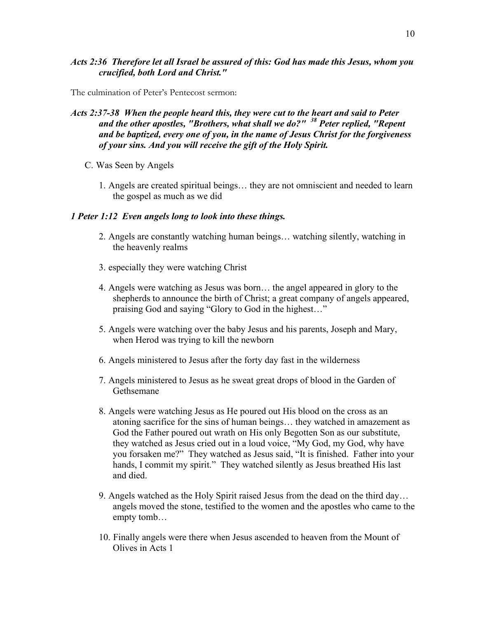# *Acts 2:36 Therefore let all Israel be assured of this: God has made this Jesus, whom you crucified, both Lord and Christ."*

The culmination of Peter's Pentecost sermon:

- *Acts 2:37-38 When the people heard this, they were cut to the heart and said to Peter and the other apostles, "Brothers, what shall we do?" <sup>38</sup> Peter replied, "Repent and be baptized, every one of you, in the name of Jesus Christ for the forgiveness of your sins. And you will receive the gift of the Holy Spirit.*
	- C. Was Seen by Angels
		- 1. Angels are created spiritual beings… they are not omniscient and needed to learn the gospel as much as we did

# *1 Peter 1:12 Even angels long to look into these things.*

- 2. Angels are constantly watching human beings… watching silently, watching in the heavenly realms
- 3. especially they were watching Christ
- 4. Angels were watching as Jesus was born… the angel appeared in glory to the shepherds to announce the birth of Christ; a great company of angels appeared, praising God and saying "Glory to God in the highest…"
- 5. Angels were watching over the baby Jesus and his parents, Joseph and Mary, when Herod was trying to kill the newborn
- 6. Angels ministered to Jesus after the forty day fast in the wilderness
- 7. Angels ministered to Jesus as he sweat great drops of blood in the Garden of Gethsemane
- 8. Angels were watching Jesus as He poured out His blood on the cross as an atoning sacrifice for the sins of human beings… they watched in amazement as God the Father poured out wrath on His only Begotten Son as our substitute, they watched as Jesus cried out in a loud voice, "My God, my God, why have you forsaken me?" They watched as Jesus said, "It is finished. Father into your hands, I commit my spirit." They watched silently as Jesus breathed His last and died.
- 9. Angels watched as the Holy Spirit raised Jesus from the dead on the third day… angels moved the stone, testified to the women and the apostles who came to the empty tomb…
- 10. Finally angels were there when Jesus ascended to heaven from the Mount of Olives in Acts 1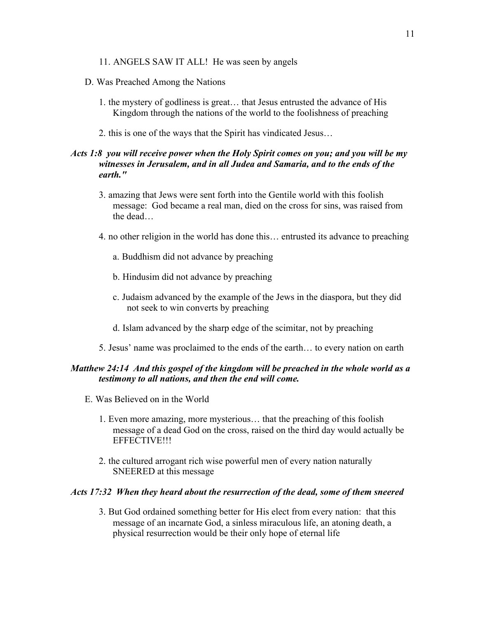- 11. ANGELS SAW IT ALL! He was seen by angels
- D. Was Preached Among the Nations
	- 1. the mystery of godliness is great… that Jesus entrusted the advance of His Kingdom through the nations of the world to the foolishness of preaching
	- 2. this is one of the ways that the Spirit has vindicated Jesus…

# *Acts 1:8 you will receive power when the Holy Spirit comes on you; and you will be my witnesses in Jerusalem, and in all Judea and Samaria, and to the ends of the earth."*

- 3. amazing that Jews were sent forth into the Gentile world with this foolish message: God became a real man, died on the cross for sins, was raised from the dead…
- 4. no other religion in the world has done this… entrusted its advance to preaching
	- a. Buddhism did not advance by preaching
	- b. Hindusim did not advance by preaching
	- c. Judaism advanced by the example of the Jews in the diaspora, but they did not seek to win converts by preaching
	- d. Islam advanced by the sharp edge of the scimitar, not by preaching
- 5. Jesus' name was proclaimed to the ends of the earth… to every nation on earth

# *Matthew 24:14 And this gospel of the kingdom will be preached in the whole world as a testimony to all nations, and then the end will come.*

- E. Was Believed on in the World
	- 1. Even more amazing, more mysterious… that the preaching of this foolish message of a dead God on the cross, raised on the third day would actually be EFFECTIVE!!!
	- 2. the cultured arrogant rich wise powerful men of every nation naturally SNEERED at this message

#### *Acts 17:32 When they heard about the resurrection of the dead, some of them sneered*

3. But God ordained something better for His elect from every nation: that this message of an incarnate God, a sinless miraculous life, an atoning death, a physical resurrection would be their only hope of eternal life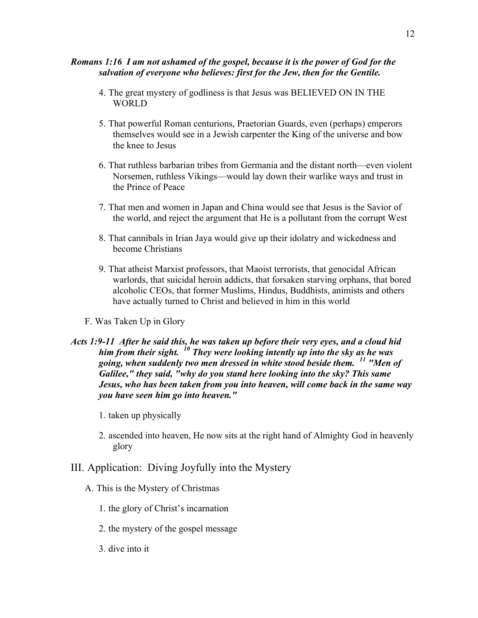### *Romans 1:16 I am not ashamed of the gospel, because it is the power of God for the salvation of everyone who believes: first for the Jew, then for the Gentile.*

- 4. The great mystery of godliness is that Jesus was BELIEVED ON IN THE WORLD
- 5. That powerful Roman centurions, Praetorian Guards, even (perhaps) emperors themselves would see in a Jewish carpenter the King of the universe and bow the knee to Jesus
- 6. That ruthless barbarian tribes from Germania and the distant north—even violent Norsemen, ruthless Vikings—would lay down their warlike ways and trust in the Prince of Peace
- 7. That men and women in Japan and China would see that Jesus is the Savior of the world, and reject the argument that He is a pollutant from the corrupt West
- 8. That cannibals in Irian Jaya would give up their idolatry and wickedness and become Christians
- 9. That atheist Marxist professors, that Maoist terrorists, that genocidal African warlords, that suicidal heroin addicts, that forsaken starving orphans, that bored alcoholic CEOs, that former Muslims, Hindus, Buddhists, animists and others have actually turned to Christ and believed in him in this world
- F. Was Taken Up in Glory
- *Acts 1:9-11 After he said this, he was taken up before their very eyes, and a cloud hid him from their sight. <sup>10</sup> They were looking intently up into the sky as he was going, when suddenly two men dressed in white stood beside them. <sup>11</sup> "Men of Galilee," they said, "why do you stand here looking into the sky? This same Jesus, who has been taken from you into heaven, will come back in the same way you have seen him go into heaven."*
	- 1. taken up physically
	- 2. ascended into heaven, He now sits at the right hand of Almighty God in heavenly glory
- III. Application: Diving Joyfully into the Mystery
	- A. This is the Mystery of Christmas
		- 1. the glory of Christ's incarnation
		- 2. the mystery of the gospel message
		- 3. dive into it